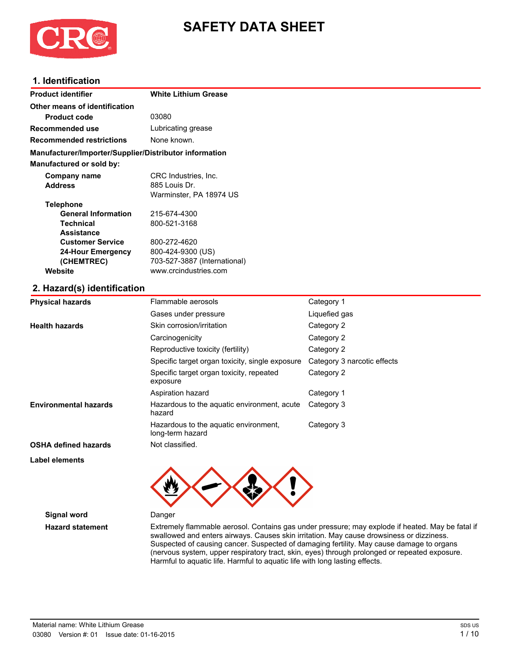

# **SAFETY DATA SHEET**

## **1. Identification**

| Product identifier                                     | <b>White Lithium Grease</b>  |
|--------------------------------------------------------|------------------------------|
| Other means of identification                          |                              |
| <b>Product code</b>                                    | 03080                        |
| Recommended use                                        | Lubricating grease           |
| <b>Recommended restrictions</b>                        | None known.                  |
| Manufacturer/Importer/Supplier/Distributor information |                              |
| <b>Manufactured or sold by:</b>                        |                              |
| Company name                                           | CRC Industries, Inc.         |
| <b>Address</b>                                         | 885 Louis Dr.                |
|                                                        | Warminster, PA 18974 US      |
| <b>Telephone</b>                                       |                              |
| <b>General Information</b>                             | 215-674-4300                 |
| <b>Technical</b>                                       | 800-521-3168                 |
| <b>Assistance</b>                                      |                              |
| <b>Customer Service</b>                                | 800-272-4620                 |
| <b>24-Hour Emergency</b>                               | 800-424-9300 (US)            |
| (CHEMTREC)                                             | 703-527-3887 (International) |
| Website                                                | www.crcindustries.com        |

## **2. Hazard(s) identification**

| <b>Physical hazards</b>      | Flammable aerosols                                        | Category 1                  |
|------------------------------|-----------------------------------------------------------|-----------------------------|
|                              | Gases under pressure                                      | Liquefied gas               |
| <b>Health hazards</b>        | Skin corrosion/irritation                                 | Category 2                  |
|                              | Carcinogenicity                                           | Category 2                  |
|                              | Reproductive toxicity (fertility)                         | Category 2                  |
|                              | Specific target organ toxicity, single exposure           | Category 3 narcotic effects |
|                              | Specific target organ toxicity, repeated<br>exposure      | Category 2                  |
|                              | Aspiration hazard                                         | Category 1                  |
| <b>Environmental hazards</b> | Hazardous to the aquatic environment, acute<br>hazard     | Category 3                  |
|                              | Hazardous to the aquatic environment,<br>long-term hazard | Category 3                  |
| <b>OSHA defined hazards</b>  | Not classified.                                           |                             |
| Label elements               |                                                           |                             |
|                              |                                                           |                             |



**Signal word** Danger

**Hazard statement** Extremely flammable aerosol. Contains gas under pressure; may explode if heated. May be fatal if swallowed and enters airways. Causes skin irritation. May cause drowsiness or dizziness. Suspected of causing cancer. Suspected of damaging fertility. May cause damage to organs (nervous system, upper respiratory tract, skin, eyes) through prolonged or repeated exposure. Harmful to aquatic life. Harmful to aquatic life with long lasting effects.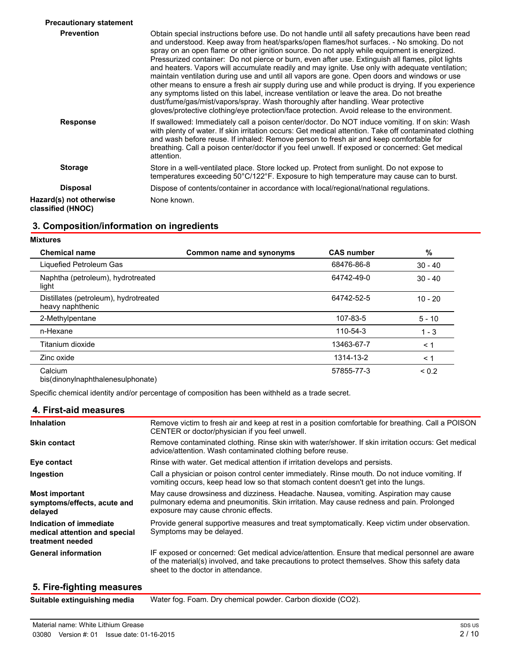| <b>Precautionary statement</b>               |                                                                                                                                                                                                                                                                                                                                                                                                                                                                                                                                                                                                                                                                                                                                                                                                                                                                                                                                                                                              |
|----------------------------------------------|----------------------------------------------------------------------------------------------------------------------------------------------------------------------------------------------------------------------------------------------------------------------------------------------------------------------------------------------------------------------------------------------------------------------------------------------------------------------------------------------------------------------------------------------------------------------------------------------------------------------------------------------------------------------------------------------------------------------------------------------------------------------------------------------------------------------------------------------------------------------------------------------------------------------------------------------------------------------------------------------|
| <b>Prevention</b>                            | Obtain special instructions before use. Do not handle until all safety precautions have been read<br>and understood. Keep away from heat/sparks/open flames/hot surfaces. - No smoking. Do not<br>spray on an open flame or other ignition source. Do not apply while equipment is energized.<br>Pressurized container: Do not pierce or burn, even after use. Extinguish all flames, pilot lights<br>and heaters. Vapors will accumulate readily and may ignite. Use only with adequate ventilation;<br>maintain ventilation during use and until all vapors are gone. Open doors and windows or use<br>other means to ensure a fresh air supply during use and while product is drying. If you experience<br>any symptoms listed on this label, increase ventilation or leave the area. Do not breathe<br>dust/fume/gas/mist/vapors/spray. Wash thoroughly after handling. Wear protective<br>gloves/protective clothing/eye protection/face protection. Avoid release to the environment. |
| <b>Response</b>                              | If swallowed: Immediately call a poison center/doctor. Do NOT induce vomiting. If on skin: Wash<br>with plenty of water. If skin irritation occurs: Get medical attention. Take off contaminated clothing<br>and wash before reuse. If inhaled: Remove person to fresh air and keep comfortable for<br>breathing. Call a poison center/doctor if you feel unwell. If exposed or concerned: Get medical<br>attention.                                                                                                                                                                                                                                                                                                                                                                                                                                                                                                                                                                         |
| <b>Storage</b>                               | Store in a well-ventilated place. Store locked up. Protect from sunlight. Do not expose to<br>temperatures exceeding 50°C/122°F. Exposure to high temperature may cause can to burst.                                                                                                                                                                                                                                                                                                                                                                                                                                                                                                                                                                                                                                                                                                                                                                                                        |
| <b>Disposal</b>                              | Dispose of contents/container in accordance with local/regional/national regulations.                                                                                                                                                                                                                                                                                                                                                                                                                                                                                                                                                                                                                                                                                                                                                                                                                                                                                                        |
| Hazard(s) not otherwise<br>classified (HNOC) | None known.                                                                                                                                                                                                                                                                                                                                                                                                                                                                                                                                                                                                                                                                                                                                                                                                                                                                                                                                                                                  |

## **3. Composition/information on ingredients**

**Mixtures**

| <b>Chemical name</b>                                      | Common name and synonyms | <b>CAS number</b> | $\%$       |
|-----------------------------------------------------------|--------------------------|-------------------|------------|
| Liquefied Petroleum Gas                                   |                          | 68476-86-8        | $30 - 40$  |
| Naphtha (petroleum), hydrotreated<br>light                |                          | 64742-49-0        | $30 - 40$  |
| Distillates (petroleum), hydrotreated<br>heavy naphthenic |                          | 64742-52-5        | $10 - 20$  |
| 2-Methylpentane                                           |                          | 107-83-5          | $5 - 10$   |
| n-Hexane                                                  |                          | 110-54-3          | $1 - 3$    |
| Titanium dioxide                                          |                          | 13463-67-7        | $\leq 1$   |
| Zinc oxide                                                |                          | 1314-13-2         | $\leq 1$   |
| Calcium<br>bis(dinonylnaphthalenesulphonate)              |                          | 57855-77-3        | ${}_{0.2}$ |

Specific chemical identity and/or percentage of composition has been withheld as a trade secret.

## **4. First-aid measures**

| <b>Inhalation</b>                                                            | Remove victim to fresh air and keep at rest in a position comfortable for breathing. Call a POISON<br>CENTER or doctor/physician if you feel unwell.                                                                                   |
|------------------------------------------------------------------------------|----------------------------------------------------------------------------------------------------------------------------------------------------------------------------------------------------------------------------------------|
| <b>Skin contact</b>                                                          | Remove contaminated clothing. Rinse skin with water/shower. If skin irritation occurs: Get medical<br>advice/attention. Wash contaminated clothing before reuse.                                                                       |
| Eye contact                                                                  | Rinse with water. Get medical attention if irritation develops and persists.                                                                                                                                                           |
| Ingestion                                                                    | Call a physician or poison control center immediately. Rinse mouth. Do not induce vomiting. If<br>vomiting occurs, keep head low so that stomach content doesn't get into the lungs.                                                   |
| <b>Most important</b><br>symptoms/effects, acute and<br>delayed              | May cause drowsiness and dizziness. Headache. Nausea, vomiting. Aspiration may cause<br>pulmonary edema and pneumonitis. Skin irritation. May cause redness and pain. Prolonged<br>exposure may cause chronic effects.                 |
| Indication of immediate<br>medical attention and special<br>treatment needed | Provide general supportive measures and treat symptomatically. Keep victim under observation.<br>Symptoms may be delayed.                                                                                                              |
| <b>General information</b>                                                   | IF exposed or concerned: Get medical advice/attention. Ensure that medical personnel are aware<br>of the material(s) involved, and take precautions to protect themselves. Show this safety data<br>sheet to the doctor in attendance. |
|                                                                              |                                                                                                                                                                                                                                        |

## **5. Fire-fighting measures**

**Suitable extinguishing media** Water fog. Foam. Dry chemical powder. Carbon dioxide (CO2).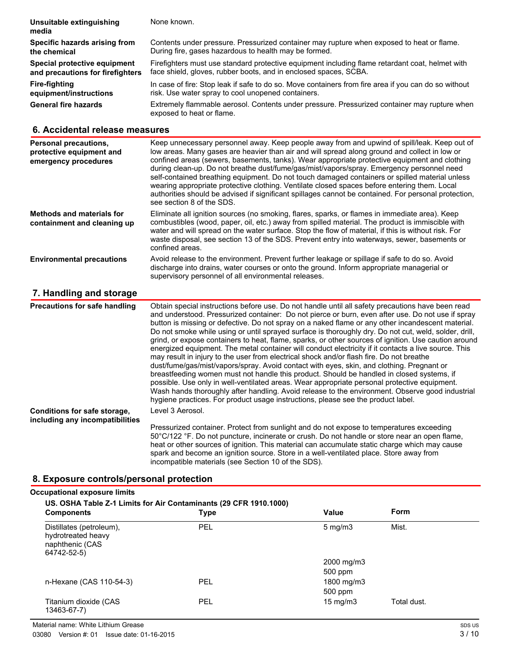| Unsuitable extinguishing<br>media | None known.                                                                                                               |
|-----------------------------------|---------------------------------------------------------------------------------------------------------------------------|
| Specific hazards arising from     | Contents under pressure. Pressurized container may rupture when exposed to heat or flame.                                 |
| the chemical                      | During fire, gases hazardous to health may be formed.                                                                     |
| Special protective equipment      | Firefighters must use standard protective equipment including flame retardant coat, helmet with                           |
| and precautions for firefighters  | face shield, gloves, rubber boots, and in enclosed spaces, SCBA.                                                          |
| Fire-fighting                     | In case of fire: Stop leak if safe to do so. Move containers from fire area if you can do so without                      |
| equipment/instructions            | risk. Use water spray to cool unopened containers.                                                                        |
| <b>General fire hazards</b>       | Extremely flammable aerosol. Contents under pressure. Pressurized container may rupture when<br>exposed to heat or flame. |

## **6. Accidental release measures**

| Personal precautions,<br>protective equipment and<br>emergency procedures | Keep unnecessary personnel away. Keep people away from and upwind of spill/leak. Keep out of<br>low areas. Many gases are heavier than air and will spread along ground and collect in low or<br>confined areas (sewers, basements, tanks). Wear appropriate protective equipment and clothing<br>during clean-up. Do not breathe dust/fume/gas/mist/vapors/spray. Emergency personnel need<br>self-contained breathing equipment. Do not touch damaged containers or spilled material unless<br>wearing appropriate protective clothing. Ventilate closed spaces before entering them. Local<br>authorities should be advised if significant spillages cannot be contained. For personal protection,<br>see section 8 of the SDS. |
|---------------------------------------------------------------------------|------------------------------------------------------------------------------------------------------------------------------------------------------------------------------------------------------------------------------------------------------------------------------------------------------------------------------------------------------------------------------------------------------------------------------------------------------------------------------------------------------------------------------------------------------------------------------------------------------------------------------------------------------------------------------------------------------------------------------------|
| <b>Methods and materials for</b><br>containment and cleaning up           | Eliminate all ignition sources (no smoking, flares, sparks, or flames in immediate area). Keep<br>combustibles (wood, paper, oil, etc.) away from spilled material. The product is immiscible with<br>water and will spread on the water surface. Stop the flow of material, if this is without risk. For<br>waste disposal, see section 13 of the SDS. Prevent entry into waterways, sewer, basements or<br>confined areas.                                                                                                                                                                                                                                                                                                       |
| <b>Environmental precautions</b>                                          | Avoid release to the environment. Prevent further leakage or spillage if safe to do so. Avoid<br>discharge into drains, water courses or onto the ground. Inform appropriate managerial or<br>supervisory personnel of all environmental releases.                                                                                                                                                                                                                                                                                                                                                                                                                                                                                 |
| 7. Handling and storage                                                   |                                                                                                                                                                                                                                                                                                                                                                                                                                                                                                                                                                                                                                                                                                                                    |
| <b>Precautions for safe handling</b>                                      | Obtain special instructions before use. Do not handle until all safety precautions have been read                                                                                                                                                                                                                                                                                                                                                                                                                                                                                                                                                                                                                                  |

and understood. Pressurized container: Do not pierce or burn, even after use. Do not use if spray button is missing or defective. Do not spray on a naked flame or any other incandescent material. Do not smoke while using or until sprayed surface is thoroughly dry. Do not cut, weld, solder, drill, grind, or expose containers to heat, flame, sparks, or other sources of ignition. Use caution around energized equipment. The metal container will conduct electricity if it contacts a live source. This may result in injury to the user from electrical shock and/or flash fire. Do not breathe dust/fume/gas/mist/vapors/spray. Avoid contact with eyes, skin, and clothing. Pregnant or breastfeeding women must not handle this product. Should be handled in closed systems, if possible. Use only in well-ventilated areas. Wear appropriate personal protective equipment. Wash hands thoroughly after handling. Avoid release to the environment. Observe good industrial hygiene practices. For product usage instructions, please see the product label. **Conditions for safe storage, including any incompatibilities** Level 3 Aerosol. Pressurized container. Protect from sunlight and do not expose to temperatures exceeding 50°C/122 °F. Do not puncture, incinerate or crush. Do not handle or store near an open flame, heat or other sources of ignition. This material can accumulate static charge which may cause spark and become an ignition source. Store in a well-ventilated place. Store away from

incompatible materials (see Section 10 of the SDS).

## **8. Exposure controls/personal protection**

| <b>Components</b>                                                                | US. OSHA Table Z-1 Limits for Air Contaminants (29 CFR 1910.1000)<br><b>Type</b> | Value             | Form        |
|----------------------------------------------------------------------------------|----------------------------------------------------------------------------------|-------------------|-------------|
| Distillates (petroleum),<br>hydrotreated heavy<br>naphthenic (CAS<br>64742-52-5) | PEL                                                                              | $5 \text{ mg/m}$  | Mist.       |
|                                                                                  |                                                                                  | 2000 mg/m3        |             |
|                                                                                  |                                                                                  | 500 ppm           |             |
| n-Hexane (CAS 110-54-3)                                                          | <b>PEL</b>                                                                       | 1800 mg/m3        |             |
|                                                                                  |                                                                                  | 500 ppm           |             |
| Titanium dioxide (CAS<br>13463-67-7)                                             | PEL                                                                              | $15 \text{ mg/m}$ | Total dust. |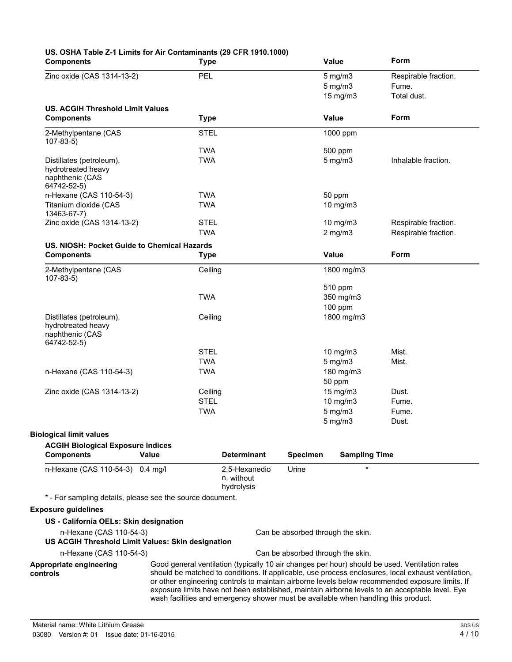| <b>Components</b>                                                                |            | <b>Type</b>                               |                 | <b>Value</b>                      | Form                                                                                                                                                                                                 |
|----------------------------------------------------------------------------------|------------|-------------------------------------------|-----------------|-----------------------------------|------------------------------------------------------------------------------------------------------------------------------------------------------------------------------------------------------|
| Zinc oxide (CAS 1314-13-2)                                                       | <b>PEL</b> |                                           |                 | $5 \text{ mg/m}$ 3                | Respirable fraction.                                                                                                                                                                                 |
|                                                                                  |            |                                           |                 | $5$ mg/m $3$                      | Fume.                                                                                                                                                                                                |
|                                                                                  |            |                                           |                 | $15$ mg/m $3$                     | Total dust.                                                                                                                                                                                          |
| <b>US. ACGIH Threshold Limit Values</b>                                          |            |                                           |                 |                                   |                                                                                                                                                                                                      |
| <b>Components</b>                                                                |            | <b>Type</b>                               |                 | Value                             | Form                                                                                                                                                                                                 |
| 2-Methylpentane (CAS<br>$107 - 83 - 5$                                           |            | <b>STEL</b>                               |                 | 1000 ppm                          |                                                                                                                                                                                                      |
|                                                                                  | <b>TWA</b> |                                           |                 | 500 ppm                           |                                                                                                                                                                                                      |
| Distillates (petroleum),<br>hydrotreated heavy<br>naphthenic (CAS<br>64742-52-5) | <b>TWA</b> |                                           |                 | $5$ mg/m $3$                      | Inhalable fraction.                                                                                                                                                                                  |
| n-Hexane (CAS 110-54-3)                                                          | <b>TWA</b> |                                           |                 | 50 ppm                            |                                                                                                                                                                                                      |
| Titanium dioxide (CAS<br>13463-67-7)                                             | <b>TWA</b> |                                           |                 | 10 mg/m3                          |                                                                                                                                                                                                      |
| Zinc oxide (CAS 1314-13-2)                                                       |            | <b>STEL</b>                               |                 | 10 $mg/m3$                        | Respirable fraction.                                                                                                                                                                                 |
|                                                                                  | <b>TWA</b> |                                           |                 | $2$ mg/m $3$                      | Respirable fraction.                                                                                                                                                                                 |
| US. NIOSH: Pocket Guide to Chemical Hazards                                      |            |                                           |                 |                                   |                                                                                                                                                                                                      |
| <b>Components</b>                                                                |            | <b>Type</b>                               |                 | <b>Value</b>                      | Form                                                                                                                                                                                                 |
| 2-Methylpentane (CAS<br>$107 - 83 - 5$                                           |            | Ceiling                                   |                 | 1800 mg/m3                        |                                                                                                                                                                                                      |
|                                                                                  |            |                                           |                 | 510 ppm                           |                                                                                                                                                                                                      |
|                                                                                  |            | <b>TWA</b>                                |                 | 350 mg/m3                         |                                                                                                                                                                                                      |
|                                                                                  |            |                                           |                 | 100 ppm                           |                                                                                                                                                                                                      |
| Distillates (petroleum),<br>hydrotreated heavy<br>naphthenic (CAS<br>64742-52-5) |            | Ceiling                                   |                 | 1800 mg/m3                        |                                                                                                                                                                                                      |
|                                                                                  |            | <b>STEL</b>                               |                 | 10 mg/m3                          | Mist.                                                                                                                                                                                                |
|                                                                                  | <b>TWA</b> |                                           |                 | $5$ mg/m $3$                      | Mist.                                                                                                                                                                                                |
| n-Hexane (CAS 110-54-3)                                                          | <b>TWA</b> |                                           |                 | 180 mg/m3                         |                                                                                                                                                                                                      |
|                                                                                  |            |                                           |                 | 50 ppm                            |                                                                                                                                                                                                      |
| Zinc oxide (CAS 1314-13-2)                                                       |            | Ceiling                                   |                 | 15 mg/m3                          | Dust.                                                                                                                                                                                                |
|                                                                                  |            | <b>STEL</b>                               |                 | 10 mg/m3                          | Fume.                                                                                                                                                                                                |
|                                                                                  | <b>TWA</b> |                                           |                 | $5$ mg/m $3$                      | Fume.                                                                                                                                                                                                |
|                                                                                  |            |                                           |                 | $5 \text{ mg/m}$                  | Dust.                                                                                                                                                                                                |
| <b>Biological limit values</b>                                                   |            |                                           |                 |                                   |                                                                                                                                                                                                      |
| <b>ACGIH Biological Exposure Indices</b>                                         |            |                                           |                 |                                   |                                                                                                                                                                                                      |
| <b>Components</b>                                                                | Value      | <b>Determinant</b>                        | <b>Specimen</b> | <b>Sampling Time</b>              |                                                                                                                                                                                                      |
| n-Hexane (CAS 110-54-3) 0.4 mg/l                                                 |            | 2,5-Hexanedio<br>n. without<br>hydrolysis | Urine           | $\star$                           |                                                                                                                                                                                                      |
| * - For sampling details, please see the source document.                        |            |                                           |                 |                                   |                                                                                                                                                                                                      |
| <b>Exposure guidelines</b>                                                       |            |                                           |                 |                                   |                                                                                                                                                                                                      |
| US - California OELs: Skin designation                                           |            |                                           |                 |                                   |                                                                                                                                                                                                      |
| n-Hexane (CAS 110-54-3)                                                          |            |                                           |                 | Can be absorbed through the skin. |                                                                                                                                                                                                      |
| US ACGIH Threshold Limit Values: Skin designation                                |            |                                           |                 |                                   |                                                                                                                                                                                                      |
| n-Hexane (CAS 110-54-3)                                                          |            |                                           |                 | Can be absorbed through the skin. |                                                                                                                                                                                                      |
| Appropriate engineering<br>controls                                              |            |                                           |                 |                                   | Good general ventilation (typically 10 air changes per hour) should be used. Ventilation rates<br>should be matched to conditions. If applicable, use process enclosures, local exhaust ventilation, |
|                                                                                  |            |                                           |                 |                                   | or other engineering controls to maintain airborne levels below recommended exposure limits. If<br>exposure limits have not been established, maintain airborne levels to an acceptable level. Eye   |

wash facilities and emergency shower must be available when handling this product.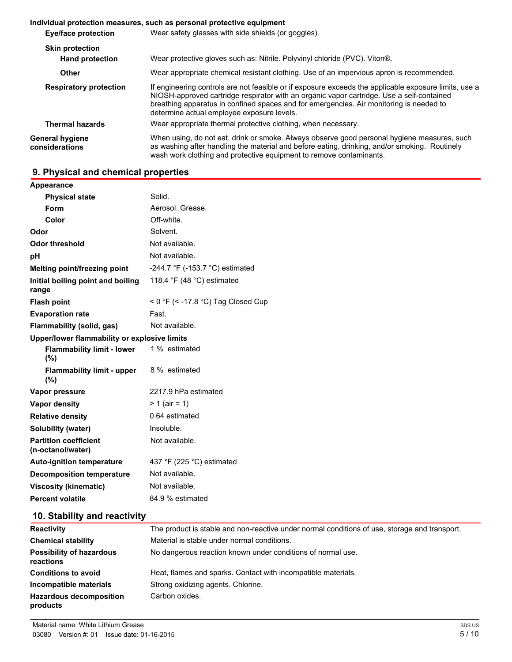## **Individual protection measures, such as personal protective equipment Eye/face protection** Wear safety glasses with side shields (or goggles). **Skin protection Hand protection** Wear protective gloves such as: Nitrile. Polyvinyl chloride (PVC). Viton®. **Other** Wear appropriate chemical resistant clothing. Use of an impervious apron is recommended. **Respiratory protection** If engineering controls are not feasible or if exposure exceeds the applicable exposure limits, use a NIOSH-approved cartridge respirator with an organic vapor cartridge. Use a self-contained breathing apparatus in confined spaces and for emergencies. Air monitoring is needed to determine actual employee exposure levels. **Thermal hazards** Wear appropriate thermal protective clothing, when necessary. **General hygiene considerations** When using, do not eat, drink or smoke. Always observe good personal hygiene measures, such as washing after handling the material and before eating, drinking, and/or smoking. Routinely wash work clothing and protective equipment to remove contaminants.

## **9. Physical and chemical properties**

| Appearance                                        |                                             |
|---------------------------------------------------|---------------------------------------------|
| <b>Physical state</b>                             | Solid.                                      |
| Form                                              | Aerosol. Grease.                            |
| Color                                             | Off-white.                                  |
| Odor                                              | Solvent.                                    |
| <b>Odor threshold</b>                             | Not available.                              |
| pH                                                | Not available.                              |
| Melting point/freezing point                      | -244.7 °F (-153.7 °C) estimated             |
| Initial boiling point and boiling<br>range        | 118.4 °F (48 °C) estimated                  |
| <b>Flash point</b>                                | < 0 °F (< -17.8 °C) Tag Closed Cup          |
| <b>Evaporation rate</b>                           | Fast.                                       |
| <b>Flammability (solid, gas)</b>                  | Not available.                              |
| Upper/lower flammability or explosive limits      |                                             |
| <b>Flammability limit - lower</b><br>(%)          | 1 % estimated                               |
| <b>Flammability limit - upper</b><br>(%)          | 8 % estimated                               |
| Vapor pressure                                    | 2217.9 hPa estimated                        |
| Vapor density                                     | $> 1$ (air = 1)                             |
| <b>Relative density</b>                           | 0.64 estimated                              |
| Solubility (water)                                | Insoluble.                                  |
| <b>Partition coefficient</b><br>(n-octanol/water) | Not available.                              |
| <b>Auto-ignition temperature</b>                  | 437 $\degree$ F (225 $\degree$ C) estimated |
| <b>Decomposition temperature</b>                  | Not available.                              |
| <b>Viscosity (kinematic)</b>                      | Not available.                              |
| <b>Percent volatile</b>                           | 84.9 % estimated                            |

## **10. Stability and reactivity**

| <b>Reactivity</b>                            | The product is stable and non-reactive under normal conditions of use, storage and transport. |
|----------------------------------------------|-----------------------------------------------------------------------------------------------|
| <b>Chemical stability</b>                    | Material is stable under normal conditions.                                                   |
| <b>Possibility of hazardous</b><br>reactions | No dangerous reaction known under conditions of normal use.                                   |
| <b>Conditions to avoid</b>                   | Heat, flames and sparks. Contact with incompatible materials.                                 |
| Incompatible materials                       | Strong oxidizing agents. Chlorine.                                                            |
| <b>Hazardous decomposition</b><br>products   | Carbon oxides.                                                                                |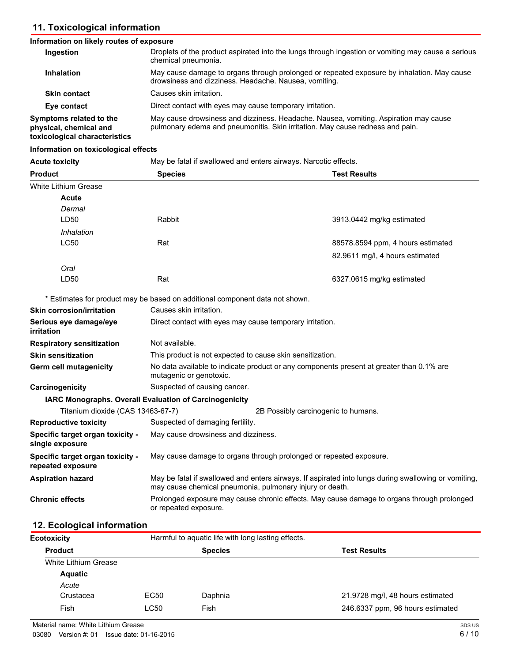## **11. Toxicological information**

## **Information on likely routes of exposure**

| Ingestion                                                                          | Droplets of the product aspirated into the lungs through ingestion or vomiting may cause a serious<br>chemical pneumonia.                                             |
|------------------------------------------------------------------------------------|-----------------------------------------------------------------------------------------------------------------------------------------------------------------------|
| <b>Inhalation</b>                                                                  | May cause damage to organs through prolonged or repeated exposure by inhalation. May cause<br>drowsiness and dizziness. Headache. Nausea, vomiting.                   |
| <b>Skin contact</b>                                                                | Causes skin irritation.                                                                                                                                               |
| Eye contact                                                                        | Direct contact with eyes may cause temporary irritation.                                                                                                              |
| Symptoms related to the<br>physical, chemical and<br>toxicological characteristics | May cause drowsiness and dizziness. Headache. Nausea, vomiting. Aspiration may cause<br>pulmonary edema and pneumonitis. Skin irritation. May cause redness and pain. |

#### **Information on toxicological effects**

| <b>Acute toxicity</b>                                 | May be fatal if swallowed and enters airways. Narcotic effects.                                                                                                  |                                     |                                   |
|-------------------------------------------------------|------------------------------------------------------------------------------------------------------------------------------------------------------------------|-------------------------------------|-----------------------------------|
| <b>Product</b>                                        | <b>Species</b>                                                                                                                                                   |                                     | <b>Test Results</b>               |
| White Lithium Grease                                  |                                                                                                                                                                  |                                     |                                   |
| <b>Acute</b>                                          |                                                                                                                                                                  |                                     |                                   |
| Dermal                                                |                                                                                                                                                                  |                                     |                                   |
| LD50                                                  | <b>Rabbit</b>                                                                                                                                                    |                                     | 3913.0442 mg/kg estimated         |
| Inhalation                                            |                                                                                                                                                                  |                                     |                                   |
| <b>LC50</b>                                           | Rat                                                                                                                                                              |                                     | 88578.8594 ppm, 4 hours estimated |
|                                                       |                                                                                                                                                                  |                                     | 82.9611 mg/l, 4 hours estimated   |
| Oral                                                  |                                                                                                                                                                  |                                     |                                   |
| LD50                                                  | Rat                                                                                                                                                              |                                     | 6327.0615 mg/kg estimated         |
|                                                       | * Estimates for product may be based on additional component data not shown.                                                                                     |                                     |                                   |
| <b>Skin corrosion/irritation</b>                      | Causes skin irritation.                                                                                                                                          |                                     |                                   |
| Serious eye damage/eye<br>irritation                  | Direct contact with eyes may cause temporary irritation.                                                                                                         |                                     |                                   |
| <b>Respiratory sensitization</b>                      | Not available.                                                                                                                                                   |                                     |                                   |
| <b>Skin sensitization</b>                             | This product is not expected to cause skin sensitization.                                                                                                        |                                     |                                   |
| <b>Germ cell mutagenicity</b>                         | No data available to indicate product or any components present at greater than 0.1% are<br>mutagenic or genotoxic.                                              |                                     |                                   |
| Carcinogenicity                                       | Suspected of causing cancer.                                                                                                                                     |                                     |                                   |
|                                                       | IARC Monographs. Overall Evaluation of Carcinogenicity                                                                                                           |                                     |                                   |
| Titanium dioxide (CAS 13463-67-7)                     |                                                                                                                                                                  | 2B Possibly carcinogenic to humans. |                                   |
| <b>Reproductive toxicity</b>                          | Suspected of damaging fertility.                                                                                                                                 |                                     |                                   |
| Specific target organ toxicity -<br>single exposure   | May cause drowsiness and dizziness.                                                                                                                              |                                     |                                   |
| Specific target organ toxicity -<br>repeated exposure | May cause damage to organs through prolonged or repeated exposure.                                                                                               |                                     |                                   |
| <b>Aspiration hazard</b>                              | May be fatal if swallowed and enters airways. If aspirated into lungs during swallowing or vomiting,<br>may cause chemical pneumonia, pulmonary injury or death. |                                     |                                   |
| <b>Chronic effects</b>                                | Prolonged exposure may cause chronic effects. May cause damage to organs through prolonged<br>or repeated exposure.                                              |                                     |                                   |

## **12. Ecological information**

| 21.9728 mg/l, 48 hours estimated |
|----------------------------------|
| 246.6337 ppm, 96 hours estimated |
|                                  |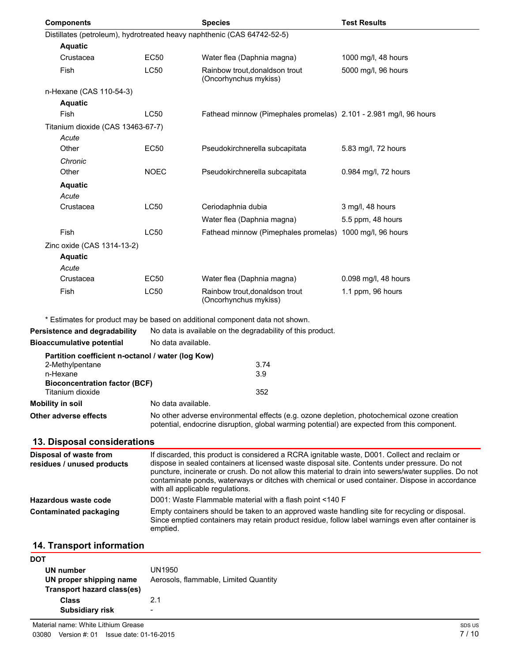| <b>Components</b>                                                                |                    | <b>Species</b>                                                                                                                                                                                                                                                                                                                                                                                                                                | <b>Test Results</b>  |
|----------------------------------------------------------------------------------|--------------------|-----------------------------------------------------------------------------------------------------------------------------------------------------------------------------------------------------------------------------------------------------------------------------------------------------------------------------------------------------------------------------------------------------------------------------------------------|----------------------|
|                                                                                  |                    | Distillates (petroleum), hydrotreated heavy naphthenic (CAS 64742-52-5)                                                                                                                                                                                                                                                                                                                                                                       |                      |
| <b>Aquatic</b>                                                                   |                    |                                                                                                                                                                                                                                                                                                                                                                                                                                               |                      |
| Crustacea                                                                        | EC50               | Water flea (Daphnia magna)                                                                                                                                                                                                                                                                                                                                                                                                                    | 1000 mg/l, 48 hours  |
| Fish                                                                             | <b>LC50</b>        | Rainbow trout, donaldson trout<br>(Oncorhynchus mykiss)                                                                                                                                                                                                                                                                                                                                                                                       | 5000 mg/l, 96 hours  |
| n-Hexane (CAS 110-54-3)                                                          |                    |                                                                                                                                                                                                                                                                                                                                                                                                                                               |                      |
| <b>Aquatic</b>                                                                   |                    |                                                                                                                                                                                                                                                                                                                                                                                                                                               |                      |
| Fish                                                                             | LC50               | Fathead minnow (Pimephales promelas) 2.101 - 2.981 mg/l, 96 hours                                                                                                                                                                                                                                                                                                                                                                             |                      |
| Titanium dioxide (CAS 13463-67-7)                                                |                    |                                                                                                                                                                                                                                                                                                                                                                                                                                               |                      |
| Acute                                                                            |                    |                                                                                                                                                                                                                                                                                                                                                                                                                                               |                      |
| Other                                                                            | <b>EC50</b>        | Pseudokirchnerella subcapitata                                                                                                                                                                                                                                                                                                                                                                                                                | 5.83 mg/l, 72 hours  |
| Chronic                                                                          |                    |                                                                                                                                                                                                                                                                                                                                                                                                                                               |                      |
| Other                                                                            | <b>NOEC</b>        | Pseudokirchnerella subcapitata                                                                                                                                                                                                                                                                                                                                                                                                                | 0.984 mg/l, 72 hours |
| <b>Aquatic</b>                                                                   |                    |                                                                                                                                                                                                                                                                                                                                                                                                                                               |                      |
| Acute                                                                            |                    |                                                                                                                                                                                                                                                                                                                                                                                                                                               |                      |
| Crustacea                                                                        | LC50               | Ceriodaphnia dubia                                                                                                                                                                                                                                                                                                                                                                                                                            | 3 mg/l, 48 hours     |
|                                                                                  |                    | Water flea (Daphnia magna)                                                                                                                                                                                                                                                                                                                                                                                                                    | 5.5 ppm, 48 hours    |
| Fish                                                                             | LC50               | Fathead minnow (Pimephales promelas) 1000 mg/l, 96 hours                                                                                                                                                                                                                                                                                                                                                                                      |                      |
| Zinc oxide (CAS 1314-13-2)                                                       |                    |                                                                                                                                                                                                                                                                                                                                                                                                                                               |                      |
| <b>Aquatic</b>                                                                   |                    |                                                                                                                                                                                                                                                                                                                                                                                                                                               |                      |
| Acute                                                                            |                    |                                                                                                                                                                                                                                                                                                                                                                                                                                               |                      |
| Crustacea                                                                        | <b>EC50</b>        | Water flea (Daphnia magna)                                                                                                                                                                                                                                                                                                                                                                                                                    | 0.098 mg/l, 48 hours |
| Fish                                                                             | LC50               | Rainbow trout, donaldson trout<br>(Oncorhynchus mykiss)                                                                                                                                                                                                                                                                                                                                                                                       | 1.1 ppm, 96 hours    |
|                                                                                  |                    | * Estimates for product may be based on additional component data not shown.                                                                                                                                                                                                                                                                                                                                                                  |                      |
| Persistence and degradability                                                    |                    | No data is available on the degradability of this product.                                                                                                                                                                                                                                                                                                                                                                                    |                      |
| <b>Bioaccumulative potential</b>                                                 | No data available. |                                                                                                                                                                                                                                                                                                                                                                                                                                               |                      |
| Partition coefficient n-octanol / water (log Kow)<br>2-Methylpentane<br>n-Hexane |                    | 3.74<br>3.9                                                                                                                                                                                                                                                                                                                                                                                                                                   |                      |
| <b>Bioconcentration factor (BCF)</b>                                             |                    |                                                                                                                                                                                                                                                                                                                                                                                                                                               |                      |
| Titanium dioxide                                                                 |                    | 352                                                                                                                                                                                                                                                                                                                                                                                                                                           |                      |
| <b>Mobility in soil</b>                                                          | No data available. |                                                                                                                                                                                                                                                                                                                                                                                                                                               |                      |
| Other adverse effects                                                            |                    | No other adverse environmental effects (e.g. ozone depletion, photochemical ozone creation<br>potential, endocrine disruption, global warming potential) are expected from this component.                                                                                                                                                                                                                                                    |                      |
| 13. Disposal considerations                                                      |                    |                                                                                                                                                                                                                                                                                                                                                                                                                                               |                      |
| Disposal of waste from<br>residues / unused products                             |                    | If discarded, this product is considered a RCRA ignitable waste, D001. Collect and reclaim or<br>dispose in sealed containers at licensed waste disposal site. Contents under pressure. Do not<br>puncture, incinerate or crush. Do not allow this material to drain into sewers/water supplies. Do not<br>contaminate ponds, waterways or ditches with chemical or used container. Dispose in accordance<br>with all applicable regulations. |                      |
| <b>Hazardous waste code</b>                                                      |                    | D001: Waste Flammable material with a flash point <140 F                                                                                                                                                                                                                                                                                                                                                                                      |                      |
| <b>Contaminated packaging</b>                                                    | emptied.           | Empty containers should be taken to an approved waste handling site for recycling or disposal.<br>Since emptied containers may retain product residue, follow label warnings even after container is                                                                                                                                                                                                                                          |                      |
| 14. Transport information                                                        |                    |                                                                                                                                                                                                                                                                                                                                                                                                                                               |                      |
| <b>DOT</b>                                                                       |                    |                                                                                                                                                                                                                                                                                                                                                                                                                                               |                      |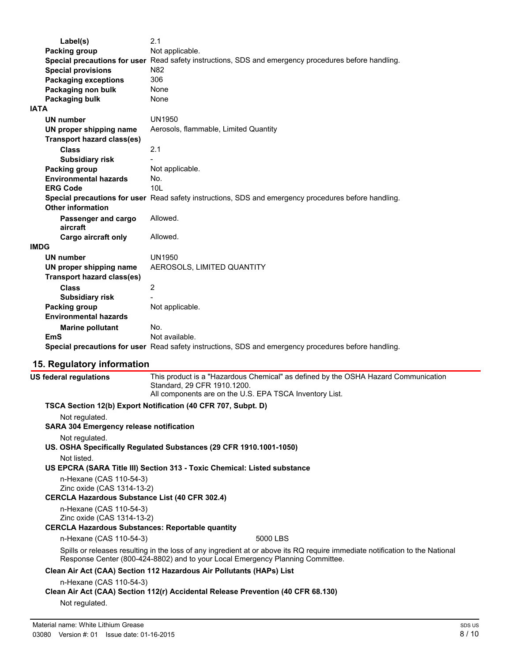| Label(s)                                              | 2.1                                                                                                  |
|-------------------------------------------------------|------------------------------------------------------------------------------------------------------|
| <b>Packing group</b>                                  | Not applicable.                                                                                      |
|                                                       | Special precautions for user Read safety instructions, SDS and emergency procedures before handling. |
| <b>Special provisions</b>                             | N82                                                                                                  |
| <b>Packaging exceptions</b>                           | 306                                                                                                  |
| Packaging non bulk                                    | None                                                                                                 |
| Packaging bulk                                        | None                                                                                                 |
| <b>IATA</b>                                           |                                                                                                      |
| UN number                                             | <b>UN1950</b>                                                                                        |
| UN proper shipping name                               | Aerosols, flammable, Limited Quantity                                                                |
| <b>Transport hazard class(es)</b>                     |                                                                                                      |
| <b>Class</b>                                          | 2.1                                                                                                  |
| <b>Subsidiary risk</b>                                |                                                                                                      |
| <b>Packing group</b>                                  | Not applicable.                                                                                      |
| <b>Environmental hazards</b>                          | No.                                                                                                  |
| <b>ERG Code</b>                                       | 10 <sub>L</sub>                                                                                      |
|                                                       | Special precautions for user Read safety instructions, SDS and emergency procedures before handling. |
| <b>Other information</b>                              |                                                                                                      |
| Passenger and cargo                                   | Allowed.                                                                                             |
| aircraft                                              |                                                                                                      |
| <b>Cargo aircraft only</b>                            | Allowed.                                                                                             |
| <b>IMDG</b>                                           |                                                                                                      |
| <b>UN number</b>                                      | <b>UN1950</b>                                                                                        |
| UN proper shipping name                               | AEROSOLS, LIMITED QUANTITY                                                                           |
| <b>Transport hazard class(es)</b>                     |                                                                                                      |
| <b>Class</b>                                          | 2                                                                                                    |
| <b>Subsidiary risk</b>                                |                                                                                                      |
| <b>Packing group</b>                                  | Not applicable.                                                                                      |
| <b>Environmental hazards</b>                          |                                                                                                      |
|                                                       |                                                                                                      |
| <b>Marine pollutant</b>                               | No.                                                                                                  |
| EmS                                                   | Not available.                                                                                       |
|                                                       | Special precautions for user Read safety instructions, SDS and emergency procedures before handling. |
| 15. Regulatory information                            |                                                                                                      |
| <b>US federal regulations</b>                         | This product is a "Hazardous Chemical" as defined by the OSHA Hazard Communication                   |
|                                                       | Standard, 29 CFR 1910.1200.                                                                          |
|                                                       | All components are on the U.S. EPA TSCA Inventory List.                                              |
|                                                       | TSCA Section 12(b) Export Notification (40 CFR 707, Subpt. D)                                        |
| Not regulated.                                        |                                                                                                      |
| <b>SARA 304 Emergency release notification</b>        |                                                                                                      |
| Not regulated.                                        |                                                                                                      |
|                                                       | US. OSHA Specifically Regulated Substances (29 CFR 1910.1001-1050)                                   |
| Not listed.                                           |                                                                                                      |
|                                                       | US EPCRA (SARA Title III) Section 313 - Toxic Chemical: Listed substance                             |
|                                                       |                                                                                                      |
| n-Hexane (CAS 110-54-3)                               |                                                                                                      |
| Zinc oxide (CAS 1314-13-2)                            |                                                                                                      |
| <b>CERCLA Hazardous Substance List (40 CFR 302.4)</b> |                                                                                                      |
| n-Hexane (CAS 110-54-3)                               |                                                                                                      |
| Zinc oxide (CAS 1314-13-2)                            |                                                                                                      |

## **CERCLA Hazardous Substances: Reportable quantity**

#### n-Hexane (CAS 110-54-3) 5000 LBS

Spills or releases resulting in the loss of any ingredient at or above its RQ require immediate notification to the National Response Center (800-424-8802) and to your Local Emergency Planning Committee.

## **Clean Air Act (CAA) Section 112 Hazardous Air Pollutants (HAPs) List**

n-Hexane (CAS 110-54-3)

### **Clean Air Act (CAA) Section 112(r) Accidental Release Prevention (40 CFR 68.130)**

Not regulated.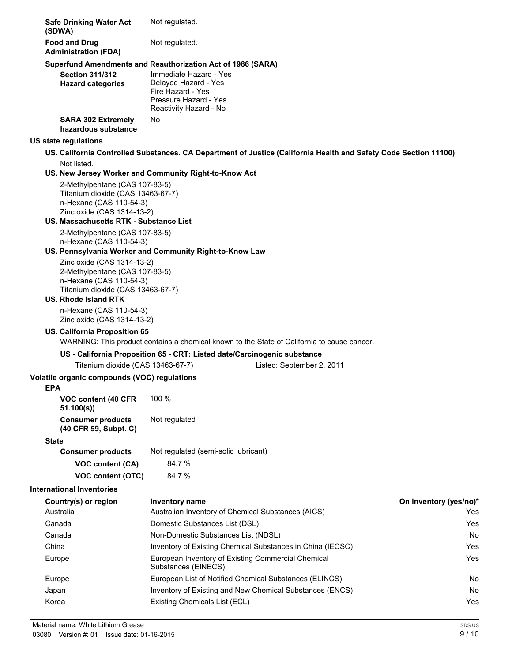| <b>Safe Drinking Water Act</b><br>(SDWA)                                                                                                                    | Not regulated.                                                                                                                                                                        |                        |
|-------------------------------------------------------------------------------------------------------------------------------------------------------------|---------------------------------------------------------------------------------------------------------------------------------------------------------------------------------------|------------------------|
| <b>Food and Drug</b><br><b>Administration (FDA)</b>                                                                                                         | Not regulated.                                                                                                                                                                        |                        |
| <b>Section 311/312</b><br><b>Hazard categories</b>                                                                                                          | Superfund Amendments and Reauthorization Act of 1986 (SARA)<br>Immediate Hazard - Yes<br>Delayed Hazard - Yes<br>Fire Hazard - Yes<br>Pressure Hazard - Yes<br>Reactivity Hazard - No |                        |
| <b>SARA 302 Extremely</b><br>hazardous substance                                                                                                            | No                                                                                                                                                                                    |                        |
| US state regulations                                                                                                                                        |                                                                                                                                                                                       |                        |
|                                                                                                                                                             | US. California Controlled Substances. CA Department of Justice (California Health and Safety Code Section 11100)                                                                      |                        |
| Not listed.                                                                                                                                                 |                                                                                                                                                                                       |                        |
|                                                                                                                                                             | US. New Jersey Worker and Community Right-to-Know Act                                                                                                                                 |                        |
| 2-Methylpentane (CAS 107-83-5)<br>Titanium dioxide (CAS 13463-67-7)<br>n-Hexane (CAS 110-54-3)<br>Zinc oxide (CAS 1314-13-2)                                |                                                                                                                                                                                       |                        |
| <b>US. Massachusetts RTK - Substance List</b>                                                                                                               |                                                                                                                                                                                       |                        |
| 2-Methylpentane (CAS 107-83-5)<br>n-Hexane (CAS 110-54-3)                                                                                                   | US. Pennsylvania Worker and Community Right-to-Know Law                                                                                                                               |                        |
| Zinc oxide (CAS 1314-13-2)<br>2-Methylpentane (CAS 107-83-5)<br>n-Hexane (CAS 110-54-3)<br>Titanium dioxide (CAS 13463-67-7)<br><b>US. Rhode Island RTK</b> |                                                                                                                                                                                       |                        |
| n-Hexane (CAS 110-54-3)<br>Zinc oxide (CAS 1314-13-2)                                                                                                       |                                                                                                                                                                                       |                        |
| US. California Proposition 65                                                                                                                               |                                                                                                                                                                                       |                        |
|                                                                                                                                                             | WARNING: This product contains a chemical known to the State of California to cause cancer.                                                                                           |                        |
|                                                                                                                                                             | US - California Proposition 65 - CRT: Listed date/Carcinogenic substance                                                                                                              |                        |
| Titanium dioxide (CAS 13463-67-7)                                                                                                                           | Listed: September 2, 2011                                                                                                                                                             |                        |
| Volatile organic compounds (VOC) regulations<br>EPA                                                                                                         |                                                                                                                                                                                       |                        |
| VOC content (40 CFR<br>51.100(s)                                                                                                                            | 100 %                                                                                                                                                                                 |                        |
| <b>Consumer products</b><br>(40 CFR 59, Subpt. C)                                                                                                           | Not regulated                                                                                                                                                                         |                        |
| <b>State</b>                                                                                                                                                |                                                                                                                                                                                       |                        |
| <b>Consumer products</b>                                                                                                                                    | Not regulated (semi-solid lubricant)                                                                                                                                                  |                        |
| VOC content (CA)                                                                                                                                            | 84.7%                                                                                                                                                                                 |                        |
| <b>VOC content (OTC)</b>                                                                                                                                    | 84.7%                                                                                                                                                                                 |                        |
| <b>International Inventories</b>                                                                                                                            |                                                                                                                                                                                       |                        |
| Country(s) or region                                                                                                                                        | Inventory name                                                                                                                                                                        | On inventory (yes/no)* |
| Australia                                                                                                                                                   | Australian Inventory of Chemical Substances (AICS)                                                                                                                                    | Yes                    |
| Canada                                                                                                                                                      | Domestic Substances List (DSL)                                                                                                                                                        | Yes                    |
| Canada                                                                                                                                                      | Non-Domestic Substances List (NDSL)                                                                                                                                                   | No                     |
| China                                                                                                                                                       | Inventory of Existing Chemical Substances in China (IECSC)                                                                                                                            | Yes                    |
| Europe                                                                                                                                                      | European Inventory of Existing Commercial Chemical<br>Substances (EINECS)                                                                                                             | Yes                    |
| Europe                                                                                                                                                      | European List of Notified Chemical Substances (ELINCS)                                                                                                                                | No                     |
| Japan                                                                                                                                                       | Inventory of Existing and New Chemical Substances (ENCS)                                                                                                                              | No                     |
| Korea                                                                                                                                                       | Existing Chemicals List (ECL)<br>Yes                                                                                                                                                  |                        |
|                                                                                                                                                             |                                                                                                                                                                                       |                        |